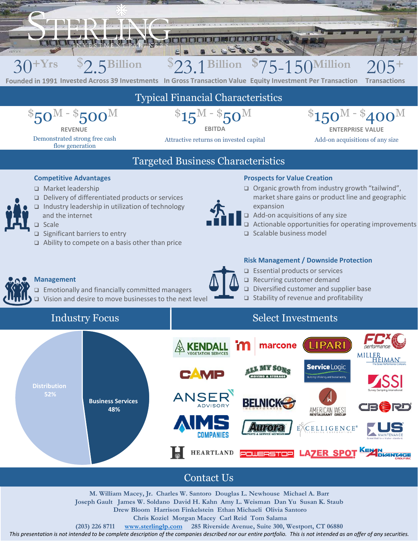

**52%**



## Contact Us

**M. William Macey, Jr. Charles W. Santoro Douglas L. Newhouse Michael A. Barr Joseph Gault James W. Soldano David H. Kahn Amy L. Weisman Dan Yu Susan K. Staub Drew Bloom Harrison Finkelstein Ethan Michaeli Olivia Santoro Chris Koziel Morgan Macey Carl Reid Tom Salama**

**(203) 226 8711 [www.sterlinglp.com](http://www.sterlinglp.com/) 285 Riverside Avenue, Suite 300, Westport, CT 06880**

*This presentation is not intended to be complete description of the companies described nor our entire portfolio. This is not intended as an offer of any securities.*